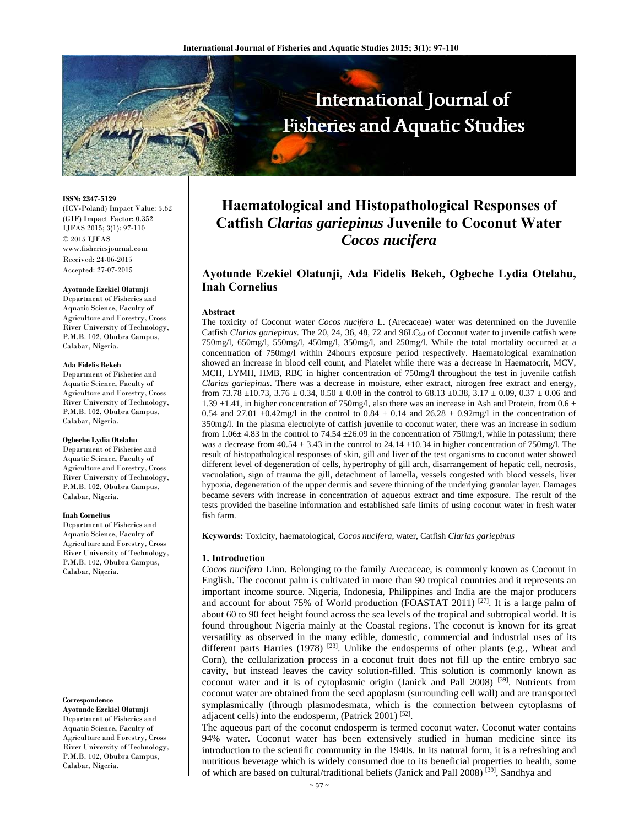

**ISSN: 2347-5129**  (ICV-Poland) Impact Value: 5.62 (GIF) Impact Factor: 0.352 IJFAS 2015; 3(1): 97-110  $\odot$  2015 IJFAS www.fisheriesjournal.com Received: 24-06-2015 Accepted: 27-07-2015

#### **Ayotunde Ezekiel Olatunji**

Department of Fisheries and Aquatic Science, Faculty of Agriculture and Forestry, Cross River University of Technology, P.M.B. 102, Obubra Campus, Calabar, Nigeria.

#### **Ada Fidelis Bekeh**

Department of Fisheries and Aquatic Science, Faculty of Agriculture and Forestry, Cross River University of Technology, P.M.B. 102, Obubra Campus, Calabar, Nigeria.

#### **Ogbeche Lydia Otelahu**

Department of Fisheries and Aquatic Science, Faculty of Agriculture and Forestry, Cross River University of Technology, P.M.B. 102, Obubra Campus, Calabar, Nigeria.

#### **Inah Cornelius**

Department of Fisheries and Aquatic Science, Faculty of Agriculture and Forestry, Cross River University of Technology, P.M.B. 102, Obubra Campus, Calabar, Nigeria.

#### **Correspondence**

**Ayotunde Ezekiel Olatunji**  Department of Fisheries and Aquatic Science, Faculty of Agriculture and Forestry, Cross River University of Technology, P.M.B. 102, Obubra Campus, Calabar, Nigeria.

# **Haematological and Histopathological Responses of Catfish** *Clarias gariepinus* **Juvenile to Coconut Water**  *Cocos nucifera*

# **Ayotunde Ezekiel Olatunji, Ada Fidelis Bekeh, Ogbeche Lydia Otelahu, Inah Cornelius**

#### **Abstract**

The toxicity of Coconut water *Cocos nucifera* L. (Arecaceae) water was determined on the Juvenile Catfish *Clarias gariepinus*. The 20, 24, 36, 48, 72 and 96LC<sub>50</sub> of Coconut water to juvenile catfish were 750mg/l, 650mg/l, 550mg/l, 450mg/l, 350mg/l, and 250mg/l. While the total mortality occurred at a concentration of 750mg/l within 24hours exposure period respectively. Haematological examination showed an increase in blood cell count, and Platelet while there was a decrease in Haematocrit, MCV, MCH, LYMH, HMB, RBC in higher concentration of 750mg/l throughout the test in juvenile catfish *Clarias gariepinus*. There was a decrease in moisture, ether extract, nitrogen free extract and energy, from 73.78  $\pm$ 10.73, 3.76  $\pm$  0.34, 0.50  $\pm$  0.08 in the control to 68.13  $\pm$ 0.38, 3.17  $\pm$  0.09, 0.37  $\pm$  0.06 and 1.39  $\pm$ 1.41, in higher concentration of 750mg/l, also there was an increase in Ash and Protein, from 0.6  $\pm$ 0.54 and 27.01  $\pm$ 0.42mg/l in the control to 0.84  $\pm$  0.14 and 26.28  $\pm$  0.92mg/l in the concentration of 350mg/l. In the plasma electrolyte of catfish juvenile to coconut water, there was an increase in sodium from 1.06 $\pm$  4.83 in the control to 74.54  $\pm$ 26.09 in the concentration of 750mg/l, while in potassium; there was a decrease from  $40.54 \pm 3.43$  in the control to 24.14  $\pm 10.34$  in higher concentration of 750mg/l. The result of histopathological responses of skin, gill and liver of the test organisms to coconut water showed different level of degeneration of cells, hypertrophy of gill arch, disarrangement of hepatic cell, necrosis, vacuolation, sign of trauma the gill, detachment of lamella, vessels congested with blood vessels, liver hypoxia, degeneration of the upper dermis and severe thinning of the underlying granular layer. Damages became severs with increase in concentration of aqueous extract and time exposure. The result of the tests provided the baseline information and established safe limits of using coconut water in fresh water fish farm.

**Keywords:** Toxicity, haematological, *Cocos nucifera*, water, Catfish *Clarias gariepinus*

#### **1. Introduction**

*Cocos nucifera* Linn. Belonging to the family Arecaceae, is commonly known as Coconut in English. The coconut palm is cultivated in more than 90 tropical countries and it represents an important income source. Nigeria, Indonesia, Philippines and India are the major producers and account for about 75% of World production (FOASTAT 2011)<sup>[27]</sup>. It is a large palm of about 60 to 90 feet height found across the sea levels of the tropical and subtropical world. It is found throughout Nigeria mainly at the Coastal regions. The coconut is known for its great versatility as observed in the many edible, domestic, commercial and industrial uses of its different parts Harries (1978)  $^{[23]}$ . Unlike the endosperms of other plants (e.g., Wheat and Corn), the cellularization process in a coconut fruit does not fill up the entire embryo sac cavity, but instead leaves the cavity solution-filled. This solution is commonly known as coconut water and it is of cytoplasmic origin (Janick and Pall 2008) [39]. Nutrients from coconut water are obtained from the seed apoplasm (surrounding cell wall) and are transported symplasmically (through plasmodesmata, which is the connection between cytoplasms of adjacent cells) into the endosperm, (Patrick 2001) [52].

The aqueous part of the coconut endosperm is termed coconut water. Coconut water contains 94% water. Coconut water has been extensively studied in human medicine since its introduction to the scientific community in the 1940s. In its natural form, it is a refreshing and nutritious beverage which is widely consumed due to its beneficial properties to health, some of which are based on cultural/traditional beliefs (Janick and Pall 2008)<sup>[39]</sup>, Sandhya and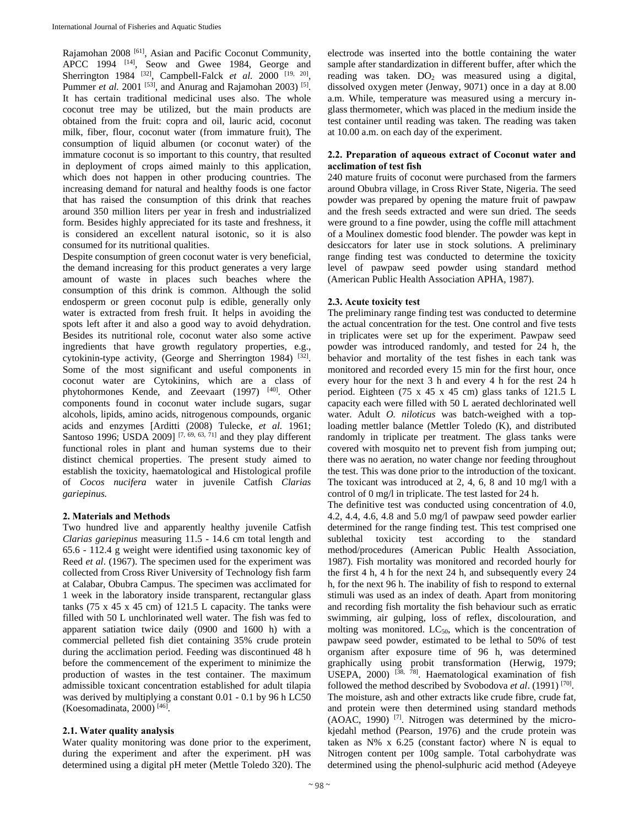Rajamohan 2008 [61], Asian and Pacific Coconut Community, APCC 1994 [14], Seow and Gwee 1984, George and Sherrington 1984 <sup>[32]</sup>, Campbell-Falck *et al.* 2000<sup>[19, 20]</sup>, Pummer *et al.* 2001<sup>[53]</sup>, and Anurag and Rajamohan 2003)<sup>[5]</sup>. It has certain traditional medicinal uses also. The whole coconut tree may be utilized, but the main products are obtained from the fruit: copra and oil, lauric acid, coconut milk, fiber, flour, coconut water (from immature fruit), The consumption of liquid albumen (or coconut water) of the immature coconut is so important to this country, that resulted in deployment of crops aimed mainly to this application, which does not happen in other producing countries. The increasing demand for natural and healthy foods is one factor that has raised the consumption of this drink that reaches around 350 million liters per year in fresh and industrialized form. Besides highly appreciated for its taste and freshness, it is considered an excellent natural isotonic, so it is also consumed for its nutritional qualities.

Despite consumption of green coconut water is very beneficial, the demand increasing for this product generates a very large amount of waste in places such beaches where the consumption of this drink is common. Although the solid endosperm or green coconut pulp is edible, generally only water is extracted from fresh fruit. It helps in avoiding the spots left after it and also a good way to avoid dehydration. Besides its nutritional role, coconut water also some active ingredients that have growth regulatory properties, e.g., cytokinin-type activity, (George and Sherrington 1984)  $[32]$ . Some of the most significant and useful components in coconut water are Cytokinins, which are a class of phytohormones Kende, and Zeevaart (1997) [40]. Other components found in coconut water include sugars, sugar alcohols, lipids, amino acids, nitrogenous compounds, organic acids and enzymes [Arditti (2008) Tulecke, *et al.* 1961; Santoso 1996; USDA 2009]  $[7, 69, 63, 71]$  and they play different functional roles in plant and human systems due to their distinct chemical properties. The present study aimed to establish the toxicity, haematological and Histological profile of *Cocos nucifera* water in juvenile Catfish *Clarias gariepinus.* 

# **2. Materials and Methods**

Two hundred live and apparently healthy juvenile Catfish *Clarias gariepinus* measuring 11.5 - 14.6 cm total length and 65.6 - 112.4 g weight were identified using taxonomic key of Reed *et al*. (1967). The specimen used for the experiment was collected from Cross River University of Technology fish farm at Calabar, Obubra Campus. The specimen was acclimated for 1 week in the laboratory inside transparent, rectangular glass tanks (75 x 45 x 45 cm) of 121.5 L capacity. The tanks were filled with 50 L unchlorinated well water. The fish was fed to apparent satiation twice daily (0900 and 1600 h) with a commercial pelleted fish diet containing 35% crude protein during the acclimation period. Feeding was discontinued 48 h before the commencement of the experiment to minimize the production of wastes in the test container. The maximum admissible toxicant concentration established for adult tilapia was derived by multiplying a constant 0.01 - 0.1 by 96 h LC50 (Koesomadinata, 2000) [46].

# **2.1. Water quality analysis**

Water quality monitoring was done prior to the experiment, during the experiment and after the experiment. pH was determined using a digital pH meter (Mettle Toledo 320). The electrode was inserted into the bottle containing the water sample after standardization in different buffer, after which the reading was taken.  $DO<sub>2</sub>$  was measured using a digital, dissolved oxygen meter (Jenway, 9071) once in a day at 8.00 a.m. While, temperature was measured using a mercury inglass thermometer, which was placed in the medium inside the test container until reading was taken. The reading was taken at 10.00 a.m. on each day of the experiment.

## **2.2. Preparation of aqueous extract of Coconut water and acclimation of test fish**

240 mature fruits of coconut were purchased from the farmers around Obubra village, in Cross River State, Nigeria. The seed powder was prepared by opening the mature fruit of pawpaw and the fresh seeds extracted and were sun dried. The seeds were ground to a fine powder, using the coffle mill attachment of a Moulinex domestic food blender. The powder was kept in desiccators for later use in stock solutions. A preliminary range finding test was conducted to determine the toxicity level of pawpaw seed powder using standard method (American Public Health Association APHA, 1987).

## **2.3. Acute toxicity test**

The preliminary range finding test was conducted to determine the actual concentration for the test. One control and five tests in triplicates were set up for the experiment. Pawpaw seed powder was introduced randomly, and tested for 24 h, the behavior and mortality of the test fishes in each tank was monitored and recorded every 15 min for the first hour, once every hour for the next 3 h and every 4 h for the rest 24 h period. Eighteen (75 x 45 x 45 cm) glass tanks of 121.5 L capacity each were filled with 50 L aerated dechlorinated well water. Adult *O. niloticus* was batch-weighed with a toploading mettler balance (Mettler Toledo (K), and distributed randomly in triplicate per treatment. The glass tanks were covered with mosquito net to prevent fish from jumping out; there was no aeration, no water change nor feeding throughout the test. This was done prior to the introduction of the toxicant. The toxicant was introduced at 2, 4, 6, 8 and 10 mg/l with a control of 0 mg/l in triplicate. The test lasted for 24 h.

The definitive test was conducted using concentration of 4.0, 4.2, 4.4, 4.6, 4.8 and 5.0 mg/l of pawpaw seed powder earlier determined for the range finding test. This test comprised one sublethal toxicity test according to the standard method/procedures (American Public Health Association, 1987). Fish mortality was monitored and recorded hourly for the first 4 h, 4 h for the next 24 h, and subsequently every 24 h, for the next 96 h. The inability of fish to respond to external stimuli was used as an index of death. Apart from monitoring and recording fish mortality the fish behaviour such as erratic swimming, air gulping, loss of reflex, discolouration, and molting was monitored.  $LC_{50}$ , which is the concentration of pawpaw seed powder, estimated to be lethal to 50% of test organism after exposure time of 96 h, was determined graphically using probit transformation (Herwig, 1979; USEPA, 2000) <sup>[38, 78]</sup>. Haematological examination of fish followed the method described by Svobodova *et al*. (1991) [70]. The moisture, ash and other extracts like crude fibre, crude fat, and protein were then determined using standard methods  $(AOAC, 1990)$  <sup>[7]</sup>. Nitrogen was determined by the microkjedahl method (Pearson, 1976) and the crude protein was taken as  $N\%$  x 6.25 (constant factor) where N is equal to Nitrogen content per 100g sample. Total carbohydrate was determined using the phenol-sulphuric acid method (Adeyeye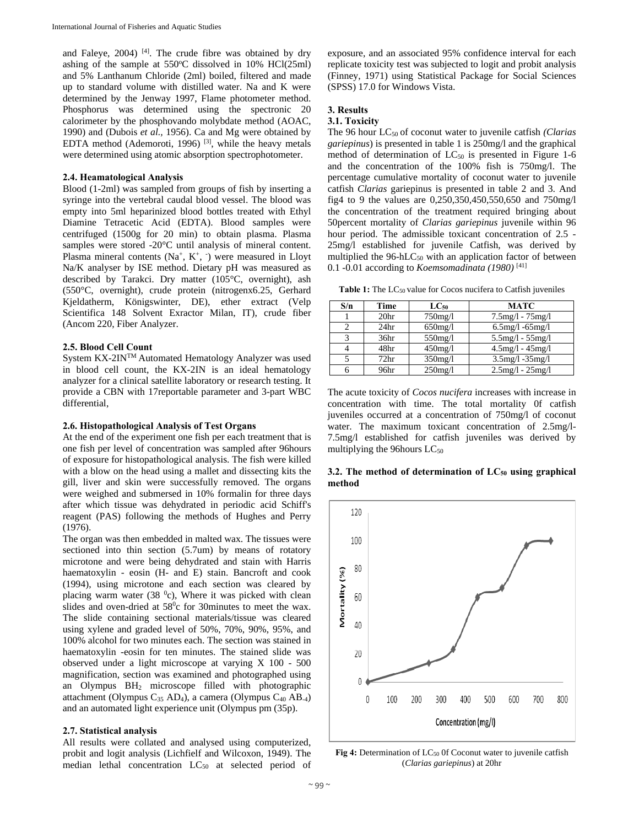and Faleye,  $2004$ )<sup>[4]</sup>. The crude fibre was obtained by dry ashing of the sample at  $550^{\circ}$ C dissolved in 10% HCl(25ml) and 5% Lanthanum Chloride (2ml) boiled, filtered and made up to standard volume with distilled water. Na and K were determined by the Jenway 1997, Flame photometer method. Phosphorus was determined using the spectronic 20 calorimeter by the phosphovando molybdate method (AOAC, 1990) and (Dubois *et al.,* 1956). Ca and Mg were obtained by EDTA method (Ademoroti, 1996) [3], while the heavy metals were determined using atomic absorption spectrophotometer.

## **2.4. Heamatological Analysis**

Blood (1-2ml) was sampled from groups of fish by inserting a syringe into the vertebral caudal blood vessel. The blood was empty into 5ml heparinized blood bottles treated with Ethyl Diamine Tetracetic Acid (EDTA). Blood samples were centrifuged (1500g for 20 min) to obtain plasma. Plasma samples were stored -20°C until analysis of mineral content. Plasma mineral contents  $(Na^+, K^+, \cdot)$  were measured in Lloyt Na/K analyser by ISE method. Dietary pH was measured as described by Tarakci. Dry matter (105°C, overnight), ash (550°C, overnight), crude protein (nitrogenx6.25, Gerhard Kjeldatherm, Königswinter, DE), ether extract (Velp Scientifica 148 Solvent Exractor Milan, IT), crude fiber (Ancom 220, Fiber Analyzer.

#### **2.5. Blood Cell Count**

System KX-2INTM Automated Hematology Analyzer was used in blood cell count, the KX-2IN is an ideal hematology analyzer for a clinical satellite laboratory or research testing. It provide a CBN with 17reportable parameter and 3-part WBC differential,

#### **2.6. Histopathological Analysis of Test Organs**

At the end of the experiment one fish per each treatment that is one fish per level of concentration was sampled after 96hours of exposure for histopathological analysis. The fish were killed with a blow on the head using a mallet and dissecting kits the gill, liver and skin were successfully removed. The organs were weighed and submersed in 10% formalin for three days after which tissue was dehydrated in periodic acid Schiff's reagent (PAS) following the methods of Hughes and Perry (1976).

The organ was then embedded in malted wax. The tissues were sectioned into thin section (5.7um) by means of rotatory microtone and were being dehydrated and stain with Harris haematoxylin - eosin (H- and E) stain. Bancroft and cook (1994), using microtone and each section was cleared by placing warm water  $(38<sup>0</sup>c)$ , Where it was picked with clean slides and oven-dried at  $58^\circ$ c for 30minutes to meet the wax. The slide containing sectional materials/tissue was cleared using xylene and graded level of 50%, 70%, 90%, 95%, and 100% alcohol for two minutes each. The section was stained in haematoxylin -eosin for ten minutes. The stained slide was observed under a light microscope at varying X 100 - 500 magnification, section was examined and photographed using an Olympus BH2 microscope filled with photographic attachment (Olympus C<sub>35</sub> AD<sub>4</sub>), a camera (Olympus C<sub>40</sub> AB<sub>-4</sub>) and an automated light experience unit (Olympus pm (35p).

## **2.7. Statistical analysis**

All results were collated and analysed using computerized, probit and logit analysis (Lichfielf and Wilcoxon, 1949). The median lethal concentration  $LC_{50}$  at selected period of

exposure, and an associated 95% confidence interval for each replicate toxicity test was subjected to logit and probit analysis (Finney, 1971) using Statistical Package for Social Sciences (SPSS) 17.0 for Windows Vista.

# **3. Results**

## **3.1. Toxicity**

The 96 hour LC<sub>50</sub> of coconut water to juvenile catfish *(Clarias*) *gariepinus*) is presented in table 1 is 250mg/l and the graphical method of determination of  $LC_{50}$  is presented in Figure 1-6 and the concentration of the 100% fish is 750mg/l. The percentage cumulative mortality of coconut water to juvenile catfish *Clarias* gariepinus is presented in table 2 and 3. And fig4 to 9 the values are 0,250,350,450,550,650 and 750mg/l the concentration of the treatment required bringing about 50percent mortality of *Clarias gariepinus* juvenile within 96 hour period. The admissible toxicant concentration of 2.5 - 25mg/l established for juvenile Catfish, was derived by multiplied the  $96$ -hLC<sub>50</sub> with an application factor of between 0.1 -0.01 according to *Koemsomadinata (1980)* [41]

**Table 1:** The LC50 value for Cocos nucifera to Catfish juveniles

| S/n | Time             | $LC_{50}$  | <b>MATC</b>            |
|-----|------------------|------------|------------------------|
|     | 20 <sub>hr</sub> | $750$ mg/l | $7.5mg/1 - 75mg/1$     |
|     | 24 <sub>hr</sub> | $650$ mg/l | $6.5$ mg/l $-65$ mg/l  |
|     | 36 <sub>hr</sub> | 550mg/l    | $5.5mg/1 - 55mg/1$     |
|     | 48hr             | $450$ mg/l | $4.5mg/1 - 45mg/1$     |
|     | 72 <sub>hr</sub> | $350$ mg/l | $3.5mg/l - 35mg/l$     |
|     | 96hr             | $250$ mg/l | $2.5$ mg/l - $25$ mg/l |

The acute toxicity of *Cocos nucifera* increases with increase in concentration with time. The total mortality 0f catfish juveniles occurred at a concentration of 750mg/l of coconut water. The maximum toxicant concentration of 2.5mg/l-7.5mg/l established for catfish juveniles was derived by multiplying the 96 hours  $LC_{50}$ 

## **3.2. The method of determination of LC50 using graphical method**



Fig 4: Determination of LC<sub>50</sub> Of Coconut water to juvenile catfish (*Clarias gariepinus*) at 20hr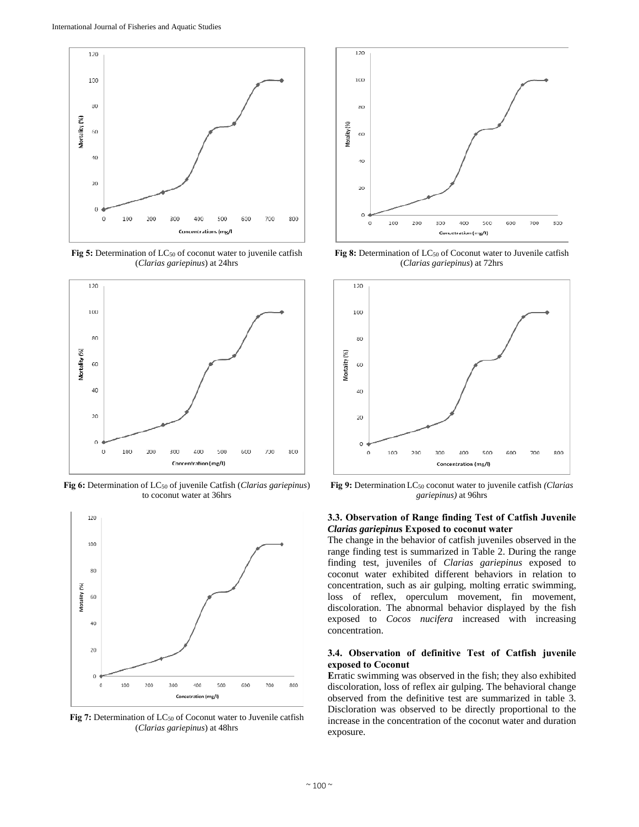

Fig 5: Determination of LC<sub>50</sub> of coconut water to juvenile catfish (*Clarias gariepinus*) at 24hrs



**Fig 6:** Determination of LC50 of juvenile Catfish (*Clarias gariepinus*) to coconut water at 36hrs



Fig 7: Determination of LC<sub>50</sub> of Coconut water to Juvenile catfish (*Clarias gariepinus*) at 48hrs



Fig 8: Determination of LC<sub>50</sub> of Coconut water to Juvenile catfish (*Clarias gariepinus*) at 72hrs



**Fig 9:** Determination LC50 coconut water to juvenile catfish *(Clarias gariepinus)* at 96hrs

# **3.3. Observation of Range finding Test of Catfish Juvenile**  *Clarias gariepinu***s Exposed to coconut water**

The change in the behavior of catfish juveniles observed in the range finding test is summarized in Table 2. During the range finding test, juveniles of *Clarias gariepinus* exposed to coconut water exhibited different behaviors in relation to concentration, such as air gulping, molting erratic swimming, loss of reflex, operculum movement, fin movement, discoloration. The abnormal behavior displayed by the fish exposed to *Cocos nucifera* increased with increasing concentration.

## **3.4. Observation of definitive Test of Catfish juvenile exposed to Coconut**

**E**rratic swimming was observed in the fish; they also exhibited discoloration, loss of reflex air gulping. The behavioral change observed from the definitive test are summarized in table 3. Discloration was observed to be directly proportional to the increase in the concentration of the coconut water and duration exposure.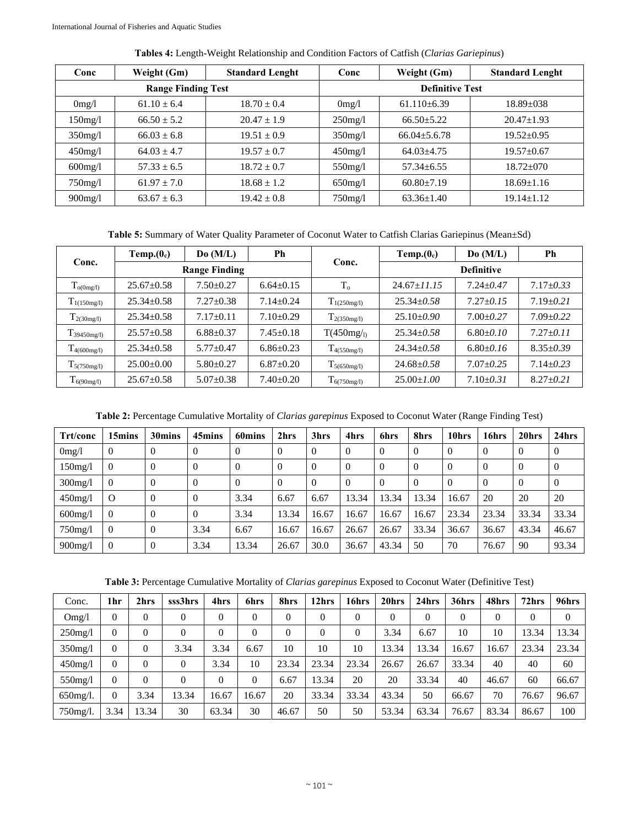| Conc       | Weight (Gm)               | <b>Standard Lenght</b> | Conc                   | Weight (Gm)      | <b>Standard Lenght</b> |  |  |  |
|------------|---------------------------|------------------------|------------------------|------------------|------------------------|--|--|--|
|            | <b>Range Finding Test</b> |                        | <b>Definitive Test</b> |                  |                        |  |  |  |
| 0mg/l      | $61.10 \pm 6.4$           | $18.70 \pm 0.4$        | 0mg/l                  | $61.110\pm 6.39$ | $18.89 + 0.38$         |  |  |  |
| $150$ mg/l | $66.50 \pm 5.2$           | $20.47 \pm 1.9$        | $250$ mg/l             | $66.50 + 5.22$   | $20.47 \pm 1.93$       |  |  |  |
| $350$ mg/l | $66.03 + 6.8$             | $19.51 \pm 0.9$        | $350$ mg/l             | $66.04 + 5.6.78$ | $19.52 + 0.95$         |  |  |  |
| $450$ mg/l | $64.03 + 4.7$             | $19.57 \pm 0.7$        | $450$ mg/l             | $64.03\pm4.75$   | $19.57 + 0.67$         |  |  |  |
| $600$ mg/l | $57.33 + 6.5$             | $18.72 \pm 0.7$        | $550$ mg/l             | $57.34 \pm 6.55$ | $18.72 + 070$          |  |  |  |
| $750$ mg/l | $61.97 \pm 7.0$           | $18.68 \pm 1.2$        | $650$ mg/l             | $60.80 \pm 7.19$ | $18.69 \pm 1.16$       |  |  |  |
| $900$ mg/l | $63.67 \pm 6.3$           | $19.42 \pm 0.8$        | $750$ mg/l             | $63.36 \pm 1.40$ | $19.14 \pm 1.12$       |  |  |  |

**Tables 4:** Length-Weight Relationship and Condition Factors of Catfish (*Clarias Gariepinus*)

**Table 5:** Summary of Water Quality Parameter of Coconut Water to Catfish Clarias Gariepinus (Mean±Sd)

| Conc.                | Temp.(0 <sub>c</sub> ) | Do (M/L)             | Ph              |                  | Temp.(0 <sub>c</sub> ) | Do(M/L)         | Ph              |  |  |  |  |
|----------------------|------------------------|----------------------|-----------------|------------------|------------------------|-----------------|-----------------|--|--|--|--|
|                      |                        | <b>Range Finding</b> |                 | Conc.            | <b>Definitive</b>      |                 |                 |  |  |  |  |
| $T_{o(0mg/l)}$       | $25.67 \pm 0.58$       | $7.50 + 0.27$        | $6.64 + 0.15$   | $T_{o}$          | $24.67 + 11.15$        | $7.24 + 0.47$   | $7.17 \pm 0.33$ |  |  |  |  |
| $T_{1(150mg/l)}$     | $25.34 + 0.58$         | $7.27 + 0.38$        | $7.14 + 0.24$   | $T_{1(250mg/l)}$ | $25.34 + 0.58$         | $7.27 + 0.15$   | $7.19 + 0.21$   |  |  |  |  |
| $T_{2(30mg/l)}$      | $25.34 \pm 0.58$       | $7.17 \pm 0.11$      | $7.10 \pm 0.29$ | $T_{2(350mg/l)}$ | $25.10 + 0.90$         | $7.00 + 0.27$   | $7.09 + 0.22$   |  |  |  |  |
| $T_{39450mg/l}$      | $25.57 \pm 0.58$       | $6.88 + 0.37$        | $7.45 \pm 0.18$ | T(450mg/p)       | $25.34 \pm 0.58$       | $6.80 \pm 0.10$ | $7.27 \pm 0.11$ |  |  |  |  |
| $T_{4(600mg/l)}$     | $25.34 + 0.58$         | $5.77 + 0.47$        | $6.86 \pm 0.23$ | $T_{4(550mg/l)}$ | $24.34 + 0.58$         | $6.80 \pm 0.16$ | $8.35 \pm 0.39$ |  |  |  |  |
| 15(750mg/1)          | $25.00+0.00$           | $5.80 + 0.27$        | $6.87 + 0.20$   | $T_{5(650mg/l)}$ | $24.68 + 0.58$         | $7.07 \pm 0.25$ | $7.14 \pm 0.23$ |  |  |  |  |
| $\Gamma_{6(90mg/l)}$ | $25.67 \pm 0.58$       | $5.07 \pm 0.38$      | $7.40 + 0.20$   | $T_{6(750mg/l)}$ | $25.00 \pm 1.00$       | $7.10 \pm 0.31$ | $8.27 \pm 0.21$ |  |  |  |  |

**Table 2:** Percentage Cumulative Mortality of *Clarias garepinus* Exposed to Coconut Water (Range Finding Test)

| Trt/conc   | 15mins         | 30mins         | 45mins         | 60mins         | 2hrs  | 3hrs           | 4hrs     | 6hrs     | 8hrs     | 10hrs    | 16hrs | 20hrs    | 24hrs |
|------------|----------------|----------------|----------------|----------------|-------|----------------|----------|----------|----------|----------|-------|----------|-------|
| 0mg/l      | $\overline{0}$ | $\Omega$       | $\Omega$       | $\Omega$       |       | $\overline{0}$ | $\Omega$ | $\theta$ | $\Omega$ | $\Omega$ |       | $\Omega$ |       |
| 150mg/l    | $\theta$       | $\Omega$       | $\overline{0}$ | $\overline{0}$ |       | $\Omega$       | $\Omega$ | $\theta$ | $\Omega$ | $\Omega$ |       |          |       |
| $300$ mg/l | $\overline{0}$ | $\Omega$       | $\Omega$       | $\Omega$       |       | $\Omega$       | $\Omega$ | $\theta$ | $\Omega$ |          |       | $\Omega$ |       |
| $450$ mg/l | $\Omega$       | $\Omega$       | $\Omega$       | 3.34           | 6.67  | 6.67           | 13.34    | 13.34    | 13.34    | 16.67    | 20    | 20       | 20    |
| $600$ mg/l | $\theta$       | $\Omega$       | $\Omega$       | 3.34           | 13.34 | 16.67          | 16.67    | 16.67    | 16.67    | 23.34    | 23.34 | 33.34    | 33.34 |
| $750$ mg/l | $\theta$       | $\theta$       | 3.34           | 6.67           | 16.67 | 16.67          | 26.67    | 26.67    | 33.34    | 36.67    | 36.67 | 43.34    | 46.67 |
| $900$ mg/l | $\overline{0}$ | $\overline{0}$ | 3.34           | 13.34          | 26.67 | 30.0           | 36.67    | 43.34    | 50       | 70       | 76.67 | 90       | 93.34 |

**Table 3:** Percentage Cumulative Mortality of *Clarias garepinus* Exposed to Coconut Water (Definitive Test)

| Conc.       | 1 <sub>hr</sub> | 2hrs     | sss3hrs        | 4hrs  | 6hrs     | 8hrs     | 2hrs     | 16hrs    | 20hrs    | 24hrs    | 36hrs    | 48hrs    | 72hrs        | 96hrs |
|-------------|-----------------|----------|----------------|-------|----------|----------|----------|----------|----------|----------|----------|----------|--------------|-------|
| Omg/l       | $\theta$        | $\theta$ | $\theta$       | 0     | $\theta$ | $\theta$ | $\Omega$ | $\Omega$ | $\theta$ | $\theta$ | $\Omega$ | $\Omega$ | $\mathbf{0}$ | 0     |
| $250$ mg/l  | $\theta$        | $\theta$ | $\overline{0}$ | 0     | $\Omega$ | $\theta$ | $\Omega$ | $\theta$ | 3.34     | 6.67     | 10       | 10       | 13.34        | 13.34 |
| $350$ mg/l  | $\theta$        | $\Omega$ | 3.34           | 3.34  | 6.67     | 10       | 10       | 10       | 13.34    | 13.34    | 16.67    | 16.67    | 23.34        | 23.34 |
| $450$ mg/l  | $\theta$        | $\Omega$ | $\theta$       | 3.34  | 10       | 23.34    | 23.34    | 23.34    | 26.67    | 26.67    | 33.34    | 40       | 40           | 60    |
| 550mg/l     | $\Omega$        | $\theta$ | $\theta$       | 0     | $\theta$ | 6.67     | 13.34    | 20       | 20       | 33.34    | 40       | 46.67    | 60           | 66.67 |
| $650$ mg/l. | $\theta$        | 3.34     | 13.34          | 16.67 | 16.67    | 20       | 33.34    | 33.34    | 43.34    | 50       | 66.67    | 70       | 76.67        | 96.67 |
| 750mg/l.    | 3.34            | 13.34    | 30             | 63.34 | 30       | 46.67    | 50       | 50       | 53.34    | 63.34    | 76.67    | 83.34    | 86.67        | 100   |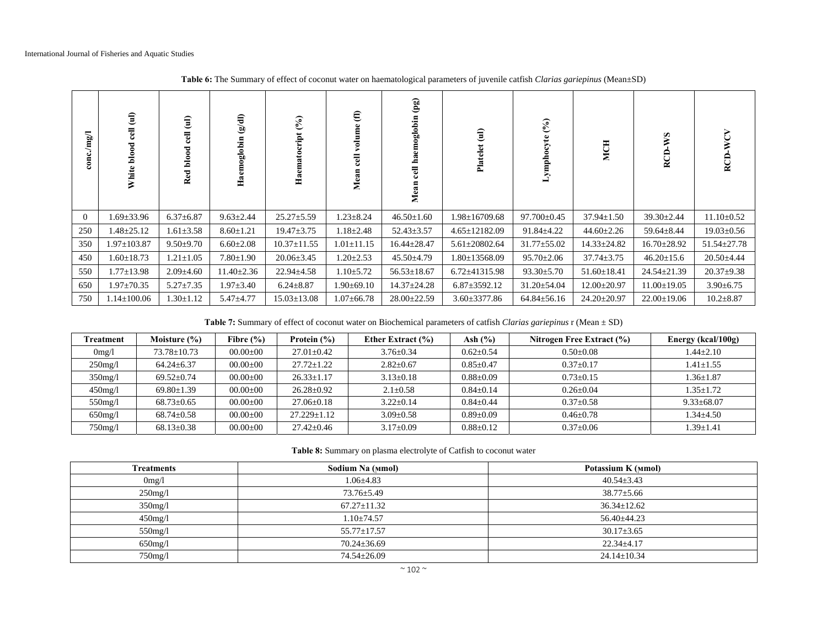| $\mathrm{conc}.\mathrm{mg}/\mathrm{l}$ | $\widehat{\mathbf{d}}$<br>$_{\rm cell}$<br>White blood | $\widehat{\mathbf{d}}$<br>$_{\rm cel}$<br>blood<br>Red | (10/3)<br>Haemoglobin | $(\%)$<br>Haematocript | $\bm{\widehat{\epsilon}}$<br>Σ | (pg)<br>oglobir<br>cell h<br>Mear | $\widehat{\mathbf{d}}$<br>Platelet | $\mathcal{E}(\mathcal{E})$<br>Lymphocyte | MCH               | SM<br>RCD         |                   |
|----------------------------------------|--------------------------------------------------------|--------------------------------------------------------|-----------------------|------------------------|--------------------------------|-----------------------------------|------------------------------------|------------------------------------------|-------------------|-------------------|-------------------|
| $\overline{0}$                         | 1.69±33.96                                             | $6.37 \pm 6.87$                                        | $9.63 \pm 2.44$       | $25.27 \pm 5.59$       | $1.23 \pm 8.24$                | $46.50 \pm 1.60$                  | $1.98 \pm 16709.68$                | $97.700 \pm 0.45$                        | $37.94 \pm 1.50$  | $39.30 \pm 2.44$  | $11.10 \pm 0.52$  |
| 250                                    | $1.48 \pm 25.12$                                       | $1.61 \pm 3.58$                                        | $8.60 \pm 1.21$       | $19.47 \pm 3.75$       | $1.18 \pm 2.48$                | $52.43 \pm 3.57$                  | $4.65 \pm 12182.09$                | $91.84 \pm 4.22$                         | $44.60 \pm 2.26$  | $59.64 \pm 8.44$  | $19.03 \pm 0.56$  |
| 350                                    | $1.97 \pm 103.87$                                      | $9.50 \pm 9.70$                                        | $6.60 \pm 2.08$       | $10.37 \pm 11.55$      | $1.01 \pm 11.15$               | $16.44 \pm 28.47$                 | $5.61 \pm 20802.64$                | $31.77 \pm 55.02$                        | $14.33 \pm 24.82$ | $16.70 \pm 28.92$ | $51.54 \pm 27.78$ |
| 450                                    | $1.60 \pm 18.73$                                       | $1.21 \pm 1.05$                                        | $7.80 \pm 1.90$       | $20.06 \pm 3.45$       | $1.20 \pm 2.53$                | $45.50 \pm 4.79$                  | $1.80 \pm 13568.09$                | $95.70 \pm 2.06$                         | $37.74 \pm 3.75$  | $46.20 \pm 15.6$  | $20.50 \pm 4.44$  |
| 550                                    | $1.77 \pm 13.98$                                       | $2.09 \pm 4.60$                                        | $11.40 \pm 2.36$      | $22.94 \pm 4.58$       | $1.10 \pm 5.72$                | $56.53 \pm 18.67$                 | $6.72 \pm 41315.98$                | $93.30 \pm 5.70$                         | $51.60 \pm 18.41$ | $24.54 \pm 21.39$ | $20.37 \pm 9.38$  |
| 650                                    | $1.97 \pm 70.35$                                       | $5.27 \pm 7.35$                                        | 1.97±3.40             | $6.24 \pm 8.87$        | $1.90 \pm 69.10$               | $14.37 \pm 24.28$                 | $6.87 \pm 3592.12$                 | $31.20 \pm 54.04$                        | $12.00 \pm 20.97$ | $11.00 \pm 19.05$ | $3.90 \pm 6.75$   |
| 750                                    | $1.14 \pm 100.06$                                      | $1.30 \pm 1.12$                                        | $5.47 \pm 4.77$       | $15.03 \pm 13.08$      | $1.07 \pm 66.78$               | $28.00 \pm 22.59$                 | $3.60 \pm 3377.86$                 | $64.84 \pm 56.16$                        | $24.20 \pm 20.97$ | $22.00 \pm 19.06$ | $10.2 \pm 8.87$   |

**Table 6:** The Summary of effect of coconut water on haematological parameters of juvenile catfish *Clarias gariepinus* (Mean±SD)

**Table 7:** Summary of effect of coconut water on Biochemical parameters of catfish *Clarias gariepinus* r (Mean ± SD)

| Treatment  | Moisture $(\% )$ | Fibre $(\% )$  | Protein $(\% )$   | Ether Extract $(\% )$ | Ash $(\% )$     | Nitrogen Free Extract (%) | Energy (kcal/100g) |
|------------|------------------|----------------|-------------------|-----------------------|-----------------|---------------------------|--------------------|
| 0mg/l      | 73.78±10.73      | $00.00 \pm 00$ | $27.01 \pm 0.42$  | $3.76 \pm 0.34$       | $0.62 \pm 0.54$ | $0.50 + 0.08$             | $1.44 \pm 2.10$    |
| $250$ mg/l | $64.24 \pm 6.37$ | $00.00 \pm 00$ | $27.72 \pm 1.22$  | $2.82 \pm 0.67$       | $0.85 \pm 0.47$ | $0.37 \pm 0.17$           | $1.41 \pm 1.55$    |
| $350$ mg/l | $69.52 \pm 0.74$ | $00.00 \pm 00$ | $26.33 \pm 1.17$  | $3.13 \pm 0.18$       | $0.88 \pm 0.09$ | $0.73 + 0.15$             | $1.36 \pm 1.87$    |
| $450$ mg/l | $69.80 \pm 1.39$ | $00.00 \pm 00$ | $26.28 \pm 0.92$  | $2.1 \pm 0.58$        | $0.84 + 0.14$   | $0.26 \pm 0.04$           | $1.35 \pm 1.72$    |
| $550$ mg/l | $68.73 \pm 0.65$ | $00.00 \pm 00$ | $27.06 \pm 0.18$  | $3.22 \pm 0.14$       | $0.84 + 0.44$   | $0.37+0.58$               | $9.33 \pm 68.07$   |
| $650$ mg/l | $68.74 \pm 0.58$ | $00.00 \pm 00$ | $27.229 \pm 1.12$ | $3.09 + 0.58$         | $0.89 \pm 0.09$ | $0.46 + 0.78$             | $1.34 \pm 4.50$    |
| $750$ mg/l | $68.13 \pm 0.38$ | $00.00 \pm 00$ | $27.42 \pm 0.46$  | $3.17 \pm 0.09$       | $0.88 \pm 0.12$ | $0.37 \pm 0.06$           | $1.39 \pm 1.41$    |

**Table 8:** Summary on plasma electrolyte of Catfish to coconut water

| <b>Treatments</b> | Sodium Na (Mmol)  | Potassium K (Mmol) |
|-------------------|-------------------|--------------------|
| 0mg/l             | $1.06 \pm 4.83$   | $40.54 \pm 3.43$   |
| $250$ mg/l        | $73.76 \pm 5.49$  | $38.77 \pm 5.66$   |
| $350$ mg/l        | $67.27 \pm 11.32$ | $36.34 \pm 12.62$  |
| $450$ mg/l        | $1.10 \pm 74.57$  | $56.40 \pm 44.23$  |
| $550$ mg/l        | $55.77 \pm 17.57$ | $30.17 \pm 3.65$   |
| 650mg/l           | $70.24 \pm 36.69$ | $22.34 \pm 4.17$   |
| $750$ mg/l        | 74.54±26.09       | $24.14 \pm 10.34$  |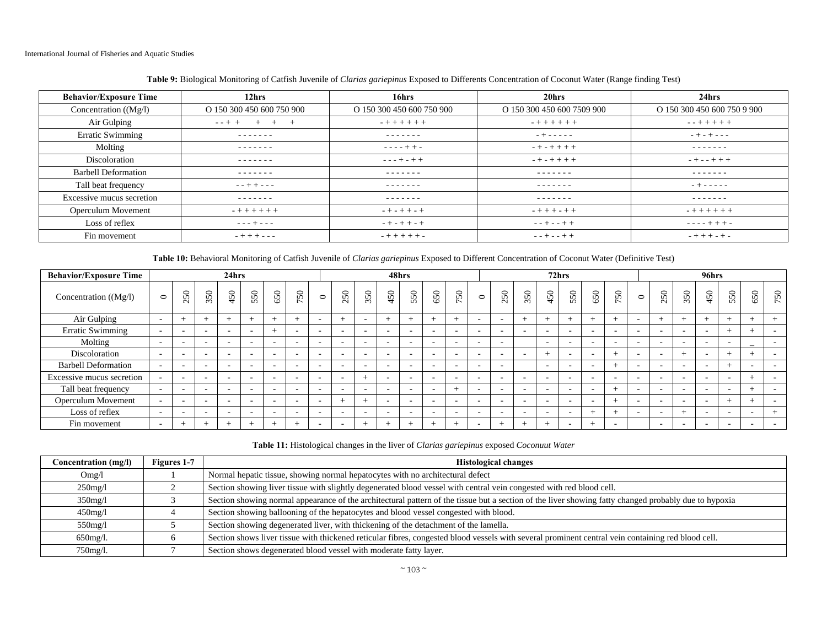| <b>Behavior/Exposure Time</b> | 12 <sub>hrs</sub>         | 16hrs                     | 20hrs                      | 24hrs                       |
|-------------------------------|---------------------------|---------------------------|----------------------------|-----------------------------|
| Concentration $((Mg/I))$      | O 150 300 450 600 750 900 | O 150 300 450 600 750 900 | O 150 300 450 600 7509 900 | O 150 300 450 600 750 9 900 |
| Air Gulping                   | $- - + +$<br>$^{+}$       | $- + + + + + + +$         | $-+++++$                   | $- + + + + + +$             |
| <b>Erratic Swimming</b>       | -------                   | -------                   | $- + - - - - -$            | $- + - + - - -$             |
| Molting                       | -------                   | $- - - - + + -$           | $- + - + + + +$            | --------                    |
| Discoloration                 | -------                   | $- - - + - + +$           | $-+ - + + + +$             | $- + - - + + +$             |
| <b>Barbell Deformation</b>    | -------                   | -------                   | -------                    | -------                     |
| Tall beat frequency           | $- - + + - - -$           | -------                   | -------                    | $- + - - - - -$             |
| Excessive mucus secretion     | -------                   | -------                   | -------                    | -------                     |
| Operculum Movement            | $-+++++$                  | $- + - + + - +$           | $-+++ -+ +$                | $-+++++$                    |
| Loss of reflex                | $- - - + - - -$           | $- + - + + - +$           | $- - + - - + +$            | $- - - - + + + -$           |
| Fin movement                  | $- + + + - - -$           | $- + + + + + -$           | $- - + - - + +$            | $- + + + - + -$             |

# **Table 9:** Biological Monitoring of Catfish Juvenile of *Clarias gariepinus* Exposed to Differents Concentration of Coconut Water (Range finding Test)

**Table 10:** Behavioral Monitoring of Catfish Juvenile of *Clarias gariepinus* Exposed to Different Concentration of Coconut Water (Definitive Test)

| <b>Behavior/Exposure Time</b> |                          | 24hrs                    |                          |                          |                          |                          |                          |                          | 48hrs                    |                          |                          |                          |                          |                          | 72 <sub>hrs</sub>        |                          |                          |        |                          |                          |                          | 96hrs   |                          |                          |                          |                          |                          |                          |
|-------------------------------|--------------------------|--------------------------|--------------------------|--------------------------|--------------------------|--------------------------|--------------------------|--------------------------|--------------------------|--------------------------|--------------------------|--------------------------|--------------------------|--------------------------|--------------------------|--------------------------|--------------------------|--------|--------------------------|--------------------------|--------------------------|---------|--------------------------|--------------------------|--------------------------|--------------------------|--------------------------|--------------------------|
| Concentration $((Mg/I))$      | $\circ$                  | $50\,$<br>$\sim$         | 350                      | 450                      | 550                      | 650                      | 50<br>$\sim$             | $\circ$                  | $50\,$<br>$\sim$         | $50\,$<br>$\sim$         | 450                      | 550                      | 650                      | 50<br>$\overline{ }$     | $\circ$                  | 50<br>$\sim$             | $50\,$<br>$\sim$         | 450    | 550                      | 650                      | $50\,$<br>$\overline{ }$ | $\circ$ | 50<br>$\sim$             | $50\,$<br>$\sim$         | 450                      | 550                      | 50<br>Ö                  | 50<br>$\overline{ }$     |
| Air Gulping                   | $\sim$                   | $+$                      | $+$                      | $^+$                     |                          | $\overline{+}$           |                          | $\overline{\phantom{a}}$ | $\rightarrow$            |                          | $+$                      | $+$                      |                          |                          | $\sim$                   | $\sim$                   | <b>+</b>                 |        | $+$                      | $\overline{\phantom{0}}$ | $+$                      |         | $+$                      | $\pm$                    | $\pm$                    | $^+$                     | $^{+}$                   | $+$                      |
| <b>Erratic Swimming</b>       | $\sim$                   |                          | $\overline{\phantom{a}}$ | -                        | . .                      |                          | $\overline{\phantom{a}}$ | $\sim$                   | $\sim$                   | $\sim$                   | $\overline{\phantom{0}}$ | $\overline{\phantom{a}}$ | $\overline{\phantom{a}}$ | $\overline{\phantom{a}}$ | $\sim$                   | $\sim$                   |                          |        | <b>CONTRACTOR</b>        | $\overline{\phantom{a}}$ | $\overline{\phantom{a}}$ |         | $\sim$                   | $\sim$                   |                          | $^+$                     | $\overline{ }$           | $\sim$                   |
| Molting                       | $\overline{a}$           | $\overline{\phantom{a}}$ | $\overline{\phantom{a}}$ |                          | . .                      | $\overline{\phantom{a}}$ | $\overline{\phantom{a}}$ | $\overline{\phantom{a}}$ | $\overline{\phantom{a}}$ | $\overline{\phantom{a}}$ | $\overline{\phantom{a}}$ | $\overline{\phantom{a}}$ | $\overline{\phantom{a}}$ | $\overline{\phantom{a}}$ | $\sim$                   | $\overline{\phantom{0}}$ |                          | $\sim$ | $\overline{\phantom{a}}$ | $\overline{\phantom{a}}$ | $\overline{\phantom{0}}$ |         | $\sim$                   | $\overline{\phantom{a}}$ |                          | $\overline{\phantom{a}}$ | $\overline{\phantom{a}}$ | $\overline{\phantom{0}}$ |
| Discoloration                 | $\overline{a}$           |                          | $\overline{\phantom{a}}$ | -                        | . .                      | -                        | $\overline{\phantom{a}}$ | $\sim$                   | $\sim$                   | $\overline{\phantom{a}}$ | $\overline{\phantom{a}}$ | $\overline{\phantom{a}}$ | $\overline{a}$           | $\overline{\phantom{a}}$ | $\sim$                   | $\sim$                   |                          |        | $\overline{\phantom{a}}$ | $\overline{\phantom{a}}$ | $\overline{+}$           |         | $\sim$                   | $^+$                     |                          |                          | $\overline{ }$           | $\overline{\phantom{a}}$ |
| <b>Barbell Deformation</b>    | $\overline{a}$           | $\sim$                   | $\overline{\phantom{a}}$ | $\overline{\phantom{0}}$ | $\overline{\phantom{a}}$ | $\overline{\phantom{a}}$ | $\overline{\phantom{a}}$ | $\overline{\phantom{a}}$ | $\sim$                   | $\sim$                   | $\overline{\phantom{a}}$ | $\overline{\phantom{a}}$ | $\overline{a}$           | $\overline{\phantom{a}}$ | $\sim$                   | $\sim$                   |                          | $\sim$ | $\overline{\phantom{a}}$ | $\overline{\phantom{a}}$ | $^{+}$                   |         | $\sim$                   | $\sim$                   |                          |                          | $\overline{\phantom{a}}$ | $\sim$                   |
| Excessive mucus secretion     | $\sim$                   | <b>CONTRACTOR</b>        | -                        |                          | ۰.                       |                          | $\overline{\phantom{a}}$ | $\overline{\phantom{0}}$ | $\sim$                   |                          | $\sim$                   | $\overline{\phantom{a}}$ | $\overline{\phantom{a}}$ | $\overline{\phantom{a}}$ | $\overline{\phantom{a}}$ | $\sim$                   |                          |        | $\overline{\phantom{a}}$ | $\overline{\phantom{a}}$ | ۰                        |         | $\overline{\phantom{a}}$ | $\overline{\phantom{a}}$ |                          | $\sim$                   |                          | $\sim$                   |
| Tall beat frequency           | $\sim$                   | $\overline{\phantom{a}}$ | -                        | $\overline{\phantom{0}}$ | . .                      | -                        | $\overline{\phantom{a}}$ | $\overline{\phantom{a}}$ | $\sim$                   | $\overline{\phantom{a}}$ | $\overline{\phantom{a}}$ | $\overline{\phantom{a}}$ | $\overline{\phantom{a}}$ |                          | $\overline{\phantom{a}}$ | $\overline{\phantom{0}}$ | $\overline{\phantom{a}}$ |        | $\overline{\phantom{a}}$ | $\sim$                   |                          |         | $\overline{\phantom{a}}$ | $\overline{\phantom{a}}$ | $\overline{\phantom{a}}$ | $\overline{\phantom{a}}$ | $\overline{ }$           | $\sim$                   |
| Operculum Movement            | $\overline{\phantom{a}}$ | <b>CONTRACTOR</b>        | <b>1</b>                 | $\overline{\phantom{a}}$ | ۰.                       | $\overline{\phantom{a}}$ | $\overline{\phantom{a}}$ | $\overline{\phantom{a}}$ |                          |                          | $\sim$                   | $\overline{\phantom{a}}$ | $\overline{\phantom{a}}$ | $\overline{\phantom{a}}$ | $\sim$                   | $\sim$                   | $\overline{\phantom{a}}$ |        | $\overline{\phantom{a}}$ | $\sim$                   |                          |         | $\overline{\phantom{a}}$ | $\sim$                   | $\overline{\phantom{a}}$ |                          | $\overline{ }$           | $\sim$                   |
| Loss of reflex                | $\overline{a}$           | $\overline{\phantom{a}}$ | $\overline{\phantom{a}}$ |                          | $\overline{\phantom{a}}$ | $\overline{\phantom{a}}$ | $\overline{\phantom{a}}$ | $\overline{\phantom{a}}$ | $\overline{\phantom{a}}$ | $\overline{\phantom{a}}$ | $\overline{\phantom{a}}$ | $\overline{\phantom{a}}$ | $\overline{\phantom{a}}$ | $\overline{\phantom{0}}$ | $\overline{\phantom{a}}$ | $\sim$                   |                          |        | $\overline{\phantom{a}}$ |                          | $^{+}$                   |         | $\sim$                   |                          |                          | $\overline{\phantom{0}}$ |                          |                          |
| Fin movement                  | $\sim$                   | $^{+}$                   |                          | $+$                      |                          |                          |                          | $\overline{\phantom{a}}$ |                          |                          | $+$                      |                          |                          |                          | $\sim$                   | $\pm$                    | $^+$                     |        | $\overline{\phantom{0}}$ | $\pm$                    | $\overline{\phantom{a}}$ |         | $\overline{\phantom{a}}$ | $\sim$                   |                          | $\overline{\phantom{a}}$ | $\overline{\phantom{a}}$ | $\sim$                   |

**Table 11:** Histological changes in the liver of *Clarias gariepinus* exposed *Coconuut Water*

| Concentration (mg/l) | Figures 1-7 | <b>Histological changes</b>                                                                                                                           |
|----------------------|-------------|-------------------------------------------------------------------------------------------------------------------------------------------------------|
| Omg/l                |             | Normal hepatic tissue, showing normal hepatocytes with no architectural defect                                                                        |
| $250$ mg/l           |             | Section showing liver tissue with slightly degenerated blood vessel with central vein congested with red blood cell.                                  |
| $350$ mg/l           |             | Section showing normal appearance of the architectural pattern of the tissue but a section of the liver showing fatty changed probably due to hypoxia |
| $450$ mg/l           |             | Section showing ballooning of the hepatocytes and blood vessel congested with blood.                                                                  |
| $550$ mg/l           |             | Section showing degenerated liver, with thickening of the detachment of the lamella.                                                                  |
| 650mg/l.             |             | Section shows liver tissue with thickened reticular fibres, congested blood vessels with several prominent central vein containing red blood cell.    |
| $750$ mg/l.          |             | Section shows degenerated blood vessel with moderate fatty layer.                                                                                     |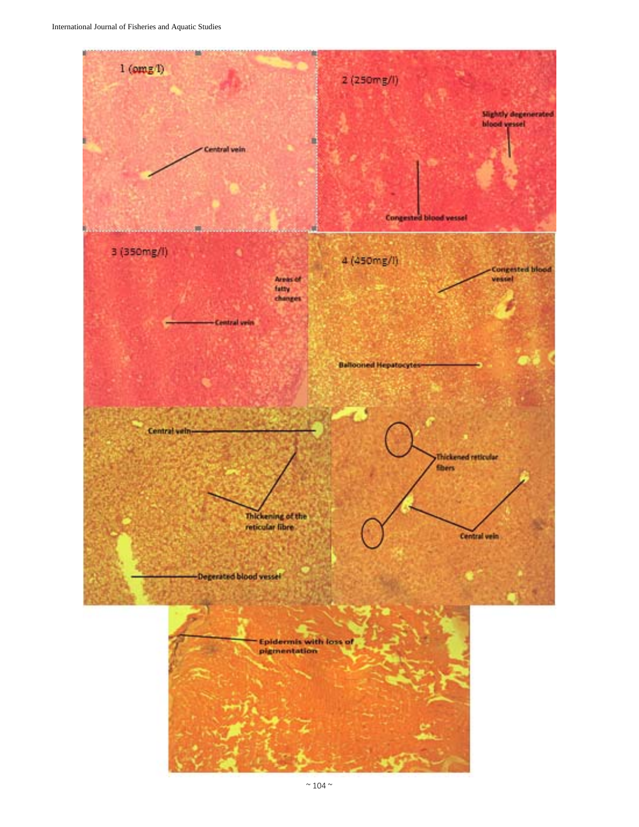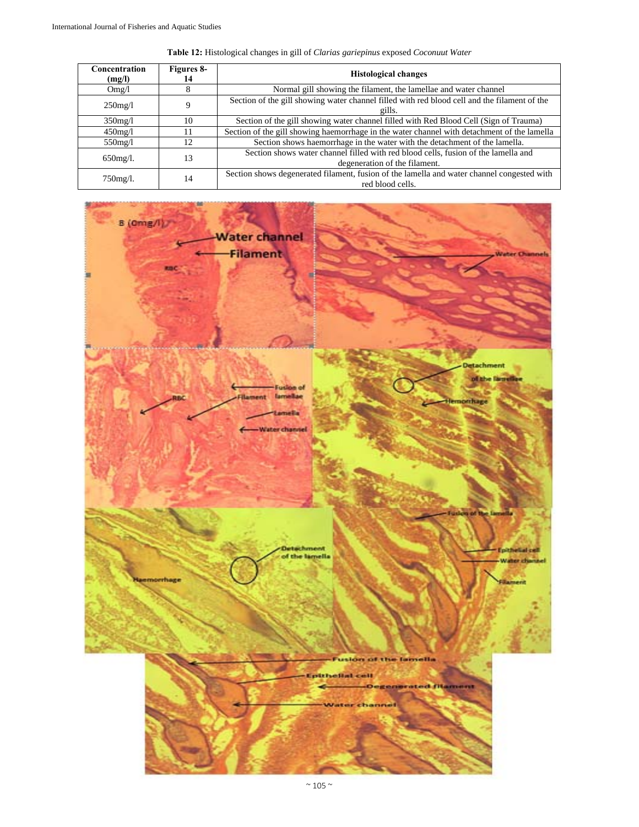| Concentration<br>(mg/l) | Figures 8-<br>14 | <b>Histological changes</b>                                                                                         |
|-------------------------|------------------|---------------------------------------------------------------------------------------------------------------------|
| Omg/l                   | 8                | Normal gill showing the filament, the lamellae and water channel                                                    |
| $250$ mg/l              | Q                | Section of the gill showing water channel filled with red blood cell and the filament of the<br>gills.              |
| $350$ mg/l              | 10               | Section of the gill showing water channel filled with Red Blood Cell (Sign of Trauma)                               |
| $450$ mg/l              |                  | Section of the gill showing haemorrhage in the water channel with detachment of the lamella                         |
| $550$ mg/l              | 12               | Section shows haemorrhage in the water with the detachment of the lamella.                                          |
| $650$ mg/l.             | 13               | Section shows water channel filled with red blood cells, fusion of the lamella and<br>degeneration of the filament. |
| $750$ mg/l.             | 14               | Section shows degenerated filament, fusion of the lamella and water channel congested with<br>red blood cells.      |

**Table 12:** Histological changes in gill of *Clarias gariepinus* exposed *Coconuut Water*

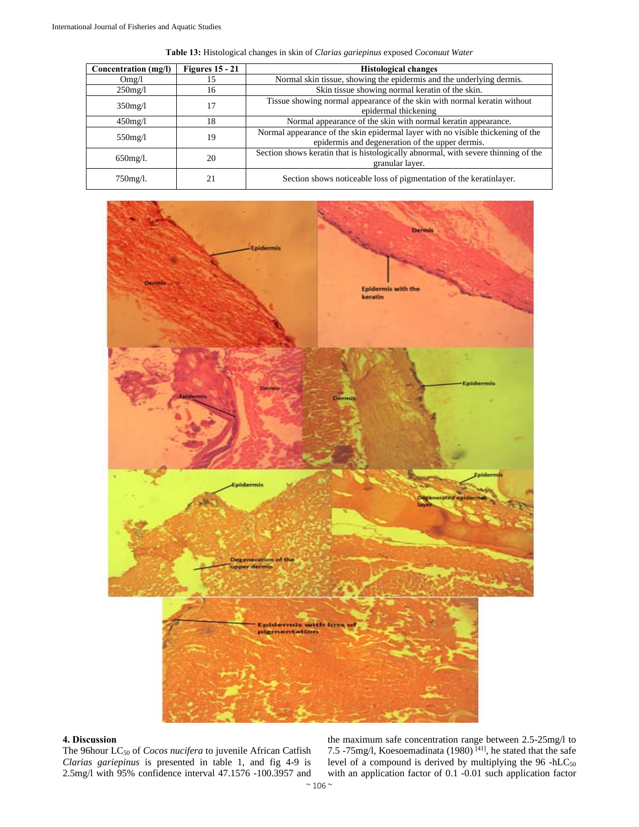| Concentration (mg/l) | Figures $15 - 21$ | <b>Histological changes</b>                                                                                                        |
|----------------------|-------------------|------------------------------------------------------------------------------------------------------------------------------------|
| Omg/l                | 15                | Normal skin tissue, showing the epidermis and the underlying dermis.                                                               |
| $250$ mg/l           | 16                | Skin tissue showing normal keratin of the skin.                                                                                    |
| $350$ mg/l           | 17                | Tissue showing normal appearance of the skin with normal keratin without<br>epidermal thickening                                   |
| $450$ mg/l           | 18                | Normal appearance of the skin with normal keratin appearance.                                                                      |
| $550$ mg/l           | 19                | Normal appearance of the skin epidermal layer with no visible thickening of the<br>epidermis and degeneration of the upper dermis. |
| $650$ mg/l.          | 20                | Section shows keratin that is histologically abnormal, with severe thinning of the<br>granular layer.                              |
| 750mg/l.             | 21                | Section shows noticeable loss of pigmentation of the keratinlayer.                                                                 |

**Table 13:** Histological changes in skin of *Clarias gariepinus* exposed *Coconuut Water*



# **4. Discussion**

The 96hour LC<sub>50</sub> of *Cocos nucifera* to juvenile African Catfish *Clarias gariepinus* is presented in table 1, and fig 4-9 is 2.5mg/l with 95% confidence interval 47.1576 -100.3957 and

the maximum safe concentration range between 2.5-25mg/l to 7.5 -75mg/l, Koesoemadinata (1980)<sup>[41]</sup>, he stated that the safe level of a compound is derived by multiplying the  $96$  -hLC<sub>50</sub> with an application factor of 0.1 -0.01 such application factor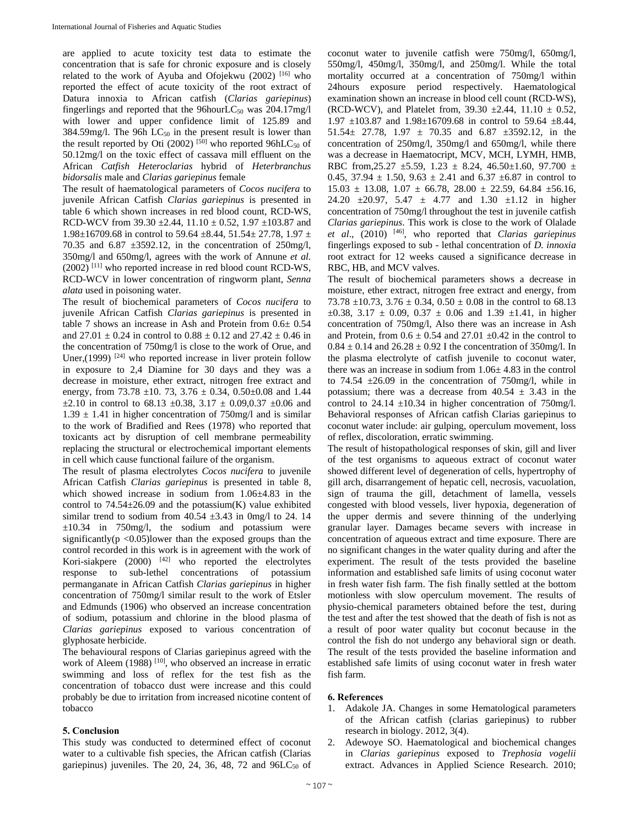are applied to acute toxicity test data to estimate the concentration that is safe for chronic exposure and is closely related to the work of Ayuba and Ofojekwu  $(2002)$ <sup>[16]</sup> who reported the effect of acute toxicity of the root extract of Datura innoxia to African catfish (*Clarias gariepinus*) fingerlings and reported that the 96hourL $C_{50}$  was 204.17mg/l with lower and upper confidence limit of 125.89 and 384.59mg/l. The 96h  $LC_{50}$  in the present result is lower than the result reported by Oti (2002)  $[50]$  who reported 96hLC<sub>50</sub> of 50.12mg/l on the toxic effect of cassava mill effluent on the African *Catfish Heteroclarias* hybrid of *Heterbranchus bidorsalis* male and *Clarias gariepinus* female

The result of haematological parameters of *Cocos nucifera* to juvenile African Catfish *Clarias gariepinus* is presented in table 6 which shown increases in red blood count, RCD-WS, RCD-WCV from 39.30  $\pm$ 2.44, 11.10  $\pm$  0.52, 1.97  $\pm$ 103.87 and 1.98 $\pm$ 16709.68 in control to 59.64  $\pm$ 8.44, 51.54 $\pm$  27.78, 1.97  $\pm$ 70.35 and 6.87  $\pm$ 3592.12, in the concentration of 250mg/l, 350mg/l and 650mg/l, agrees with the work of Annune *et al.*  $(2002)$  [11] who reported increase in red blood count RCD-WS, RCD-WCV in lower concentration of ringworm plant, *Senna alata* used in poisoning water.

The result of biochemical parameters of *Cocos nucifera* to juvenile African Catfish *Clarias gariepinus* is presented in table 7 shows an increase in Ash and Protein from  $0.6 \pm 0.54$ and  $27.01 \pm 0.24$  in control to  $0.88 \pm 0.12$  and  $27.42 \pm 0.46$  in the concentration of 750mg/l is close to the work of Orue, and Uner,(1999)<sup>[24]</sup> who reported increase in liver protein follow in exposure to 2,4 Diamine for 30 days and they was a decrease in moisture, ether extract, nitrogen free extract and energy, from 73.78  $\pm$ 10. 73, 3.76  $\pm$  0.34, 0.50 $\pm$ 0.08 and 1.44  $\pm 2.10$  in control to 68.13  $\pm 0.38$ , 3.17  $\pm$  0.09,0.37  $\pm 0.06$  and  $1.39 \pm 1.41$  in higher concentration of 750mg/l and is similar to the work of Bradified and Rees (1978) who reported that toxicants act by disruption of cell membrane permeability replacing the structural or electrochemical important elements in cell which cause functional failure of the organism.

The result of plasma electrolytes *Cocos nucifera* to juvenile African Catfish *Clarias gariepinus* is presented in table 8, which showed increase in sodium from 1.06±4.83 in the control to  $74.54 \pm 26.09$  and the potassium(K) value exhibited similar trend to sodium from  $40.54 \pm 3.43$  in 0mg/l to 24. 14 ±10.34 in 750mg/l, the sodium and potassium were significantly( $p$  <0.05)lower than the exposed groups than the control recorded in this work is in agreement with the work of Kori-siakpere (2000) [42] who reported the electrolytes response to sub-lethel concentrations of potassium permanganate in African Catfish *Clarias gariepinus* in higher concentration of 750mg/l similar result to the work of Etsler and Edmunds (1906) who observed an increase concentration of sodium, potassium and chlorine in the blood plasma of *Clarias gariepinus* exposed to various concentration of glyphosate herbicide.

The behavioural respons of Clarias gariepinus agreed with the work of Aleem (1988) <sup>[10]</sup>, who observed an increase in erratic swimming and loss of reflex for the test fish as the concentration of tobacco dust were increase and this could probably be due to irritation from increased nicotine content of tobacco

## **5. Conclusion**

This study was conducted to determined effect of coconut water to a cultivable fish species, the African catfish (Clarias gariepinus) juveniles. The 20, 24, 36, 48, 72 and  $96LC_{50}$  of coconut water to juvenile catfish were 750mg/l, 650mg/l, 550mg/l, 450mg/l, 350mg/l, and 250mg/l. While the total mortality occurred at a concentration of 750mg/l within 24hours exposure period respectively. Haematological examination shown an increase in blood cell count (RCD-WS), (RCD-WCV), and Platelet from,  $39.30 \pm 2.44$ ,  $11.10 \pm 0.52$ , 1.97  $\pm$ 103.87 and 1.98 $\pm$ 16709.68 in control to 59.64  $\pm$ 8.44, 51.54 $\pm$  27.78, 1.97  $\pm$  70.35 and 6.87  $\pm$ 3592.12, in the concentration of 250mg/l, 350mg/l and 650mg/l, while there was a decrease in Haematocript, MCV, MCH, LYMH, HMB, RBC from,  $25.27 \pm 5.59$ ,  $1.23 \pm 8.24$ ,  $46.50 \pm 1.60$ ,  $97.700 \pm 1.60$ 0.45, 37.94  $\pm$  1.50, 9.63  $\pm$  2.41 and 6.37  $\pm$ 6.87 in control to  $15.03 \pm 13.08$ ,  $1.07 \pm 66.78$ ,  $28.00 \pm 22.59$ ,  $64.84 \pm 56.16$ , 24.20  $\pm 20.97$ , 5.47  $\pm$  4.77 and 1.30  $\pm 1.12$  in higher concentration of 750mg/l throughout the test in juvenile catfish *Clarias gariepinus*. This work is close to the work of Olalade *et al*., (2010) [46], who reported that *Clarias gariepinus*  fingerlings exposed to sub - lethal concentration of *D. innoxia*  root extract for 12 weeks caused a significance decrease in RBC, HB, and MCV valves.

The result of biochemical parameters shows a decrease in moisture, ether extract, nitrogen free extract and energy, from 73.78  $\pm$ 10.73, 3.76  $\pm$  0.34, 0.50  $\pm$  0.08 in the control to 68.13  $\pm 0.38$ , 3.17  $\pm$  0.09, 0.37  $\pm$  0.06 and 1.39  $\pm 1.41$ , in higher concentration of 750mg/l, Also there was an increase in Ash and Protein, from  $0.6 \pm 0.54$  and  $27.01 \pm 0.42$  in the control to  $0.84 \pm 0.14$  and  $26.28 \pm 0.92$  I the concentration of 350mg/l. In the plasma electrolyte of catfish juvenile to coconut water, there was an increase in sodium from  $1.06 \pm 4.83$  in the control to 74.54  $\pm 26.09$  in the concentration of 750mg/l, while in potassium; there was a decrease from  $40.54 \pm 3.43$  in the control to 24.14  $\pm$ 10.34 in higher concentration of 750mg/l. Behavioral responses of African catfish Clarias gariepinus to coconut water include: air gulping, operculum movement, loss of reflex, discoloration, erratic swimming.

The result of histopathological responses of skin, gill and liver of the test organisms to aqueous extract of coconut water showed different level of degeneration of cells, hypertrophy of gill arch, disarrangement of hepatic cell, necrosis, vacuolation, sign of trauma the gill, detachment of lamella, vessels congested with blood vessels, liver hypoxia, degeneration of the upper dermis and severe thinning of the underlying granular layer. Damages became severs with increase in concentration of aqueous extract and time exposure. There are no significant changes in the water quality during and after the experiment. The result of the tests provided the baseline information and established safe limits of using coconut water in fresh water fish farm. The fish finally settled at the bottom motionless with slow operculum movement. The results of physio-chemical parameters obtained before the test, during the test and after the test showed that the death of fish is not as a result of poor water quality but coconut because in the control the fish do not undergo any behavioral sign or death. The result of the tests provided the baseline information and established safe limits of using coconut water in fresh water fish farm.

## **6. References**

- 1. Adakole JA. Changes in some Hematological parameters of the African catfish (clarias gariepinus) to rubber research in biology. 2012, 3(4).
- 2. Adewoye SO. Haematological and biochemical changes in *Clarias gariepinus* exposed to *Trephosia vogelii*  extract. Advances in Applied Science Research. 2010;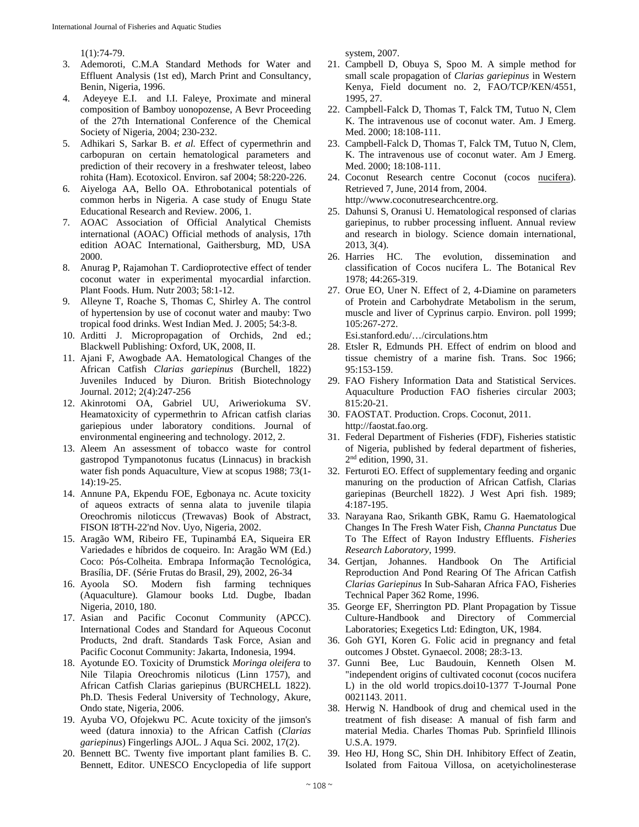1(1):74-79.

- 3. Ademoroti, C.M.A Standard Methods for Water and Effluent Analysis (1st ed), March Print and Consultancy, Benin, Nigeria, 1996.
- 4. Adeyeye E.I. and I.I. Faleye, Proximate and mineral composition of Bamboy uonopozense, A Bevr Proceeding of the 27th International Conference of the Chemical Society of Nigeria, 2004; 230-232.
- 5. Adhikari S, Sarkar B. *et al.* Effect of cypermethrin and carbopuran on certain hematological parameters and prediction of their recovery in a freshwater teleost, labeo rohita (Ham). Ecotoxicol. Environ. saf 2004; 58:220-226.
- 6. Aiyeloga AA, Bello OA. Ethrobotanical potentials of common herbs in Nigeria. A case study of Enugu State Educational Research and Review. 2006, 1.
- 7. AOAC Association of Official Analytical Chemists international (AOAC) Official methods of analysis, 17th edition AOAC International, Gaithersburg, MD, USA 2000.
- 8. Anurag P, Rajamohan T. Cardioprotective effect of tender coconut water in experimental myocardial infarction. Plant Foods. Hum. Nutr 2003; 58:1-12.
- 9. Alleyne T, Roache S, Thomas C, Shirley A. The control of hypertension by use of coconut water and mauby: Two tropical food drinks. West Indian Med. J. 2005; 54:3-8.
- 10. Arditti J. Micropropagation of Orchids, 2nd ed.; Blackwell Publishing: Oxford, UK, 2008, II.
- 11. Ajani F, Awogbade AA. Hematological Changes of the African Catfish *Clarias gariepinus* (Burchell, 1822) Juveniles Induced by Diuron. British Biotechnology Journal. 2012; 2(4):247-256
- 12. Akinrotomi OA, Gabriel UU, Ariweriokuma SV. Heamatoxicity of cypermethrin to African catfish clarias gariepious under laboratory conditions. Journal of environmental engineering and technology. 2012, 2.
- 13. Aleem An assessment of tobacco waste for control gastropod Tympanotonus fucatus (Linnacus) in brackish water fish ponds Aquaculture, View at scopus 1988; 73(1- 14):19-25.
- 14. Annune PA, Ekpendu FOE, Egbonaya nc. Acute toxicity of aqueos extracts of senna alata to juvenile tilapia Oreochromis niloticcus (Trewavas) Book of Abstract, FISON I8'TH-22'nd Nov. Uyo, Nigeria, 2002.
- 15. Aragão WM, Ribeiro FE, Tupinambá EA, Siqueira ER Variedades e híbridos de coqueiro. In: Aragão WM (Ed.) Coco: Pós-Colheita. Embrapa Informação Tecnológica, Brasília, DF. (Série Frutas do Brasil, 29), 2002, 26-34
- 16. Ayoola SO. Modern fish farming techniques (Aquaculture). Glamour books Ltd. Dugbe, Ibadan Nigeria, 2010, 180.
- 17. Asian and Pacific Coconut Community (APCC). International Codes and Standard for Aqueous Coconut Products, 2nd draft. Standards Task Force, Asian and Pacific Coconut Community: Jakarta, Indonesia, 1994.
- 18. Ayotunde EO. Toxicity of Drumstick *Moringa oleifera* to Nile Tilapia Oreochromis niloticus (Linn 1757), and African Catfish Clarias gariepinus (BURCHELL 1822). Ph.D. Thesis Federal University of Technology, Akure, Ondo state, Nigeria, 2006.
- 19. Ayuba VO, Ofojekwu PC. Acute toxicity of the jimson's weed (datura innoxia) to the African Catfish (*Clarias gariepinus*) Fingerlings AJOL. J Aqua Sci. 2002, 17(2).
- 20. Bennett BC. Twenty five important plant families B. C. Bennett, Editor. UNESCO Encyclopedia of life support

system, 2007.

- 21. Campbell D, Obuya S, Spoo M. A simple method for small scale propagation of *Clarias gariepinus* in Western Kenya, Field document no. 2, FAO/TCP/KEN/4551, 1995, 27.
- 22. Campbell-Falck D, Thomas T, Falck TM, Tutuo N, Clem K. The intravenous use of coconut water. Am. J Emerg. Med. 2000; 18:108-111.
- 23. Campbell-Falck D, Thomas T, Falck TM, Tutuo N, Clem, K. The intravenous use of coconut water. Am J Emerg. Med. 2000; 18:108-111.
- 24. Coconut Research centre Coconut (cocos nucifera). Retrieved 7, June, 2014 from, 2004.

http://www.coconutresearchcentre.org.

- 25. Dahunsi S, Oranusi U. Hematological responsed of clarias gariepinus, to rubber processing influent. Annual review and research in biology. Science domain international, 2013, 3(4).
- 26. Harries HC. The evolution, dissemination and classification of Cocos nucifera L. The Botanical Rev 1978; 44:265-319.
- 27. Orue EO, Uner N. Effect of 2, 4-Diamine on parameters of Protein and Carbohydrate Metabolism in the serum, muscle and liver of Cyprinus carpio. Environ. poll 1999; 105:267-272.

Esi.stanford.edu/…/circulations.htm

- 28. Etsler R, Edmunds PH. Effect of endrim on blood and tissue chemistry of a marine fish. Trans. Soc 1966; 95:153-159.
- 29. FAO Fishery Information Data and Statistical Services. Aquaculture Production FAO fisheries circular 2003; 815:20-21.
- 30. FAOSTAT. Production. Crops. Coconut, 2011. http://faostat.fao.org.
- 31. Federal Department of Fisheries (FDF), Fisheries statistic of Nigeria, published by federal department of fisheries, 2nd edition, 1990, 31.
- 32. Ferturoti EO. Effect of supplementary feeding and organic manuring on the production of African Catfish, Clarias gariepinas (Beurchell 1822). J West Apri fish. 1989; 4:187-195.
- 33. Narayana Rao, Srikanth GBK, Ramu G. Haematological Changes In The Fresh Water Fish, *Channa Punctatus* Due To The Effect of Rayon Industry Effluents. *Fisheries Research Laboratory*, 1999.
- 34. Gertjan, Johannes. Handbook On The Artificial Reproduction And Pond Rearing Of The African Catfish *Clarias Gariepinus* In Sub-Saharan Africa FAO, Fisheries Technical Paper 362 Rome, 1996.
- 35. George EF, Sherrington PD. Plant Propagation by Tissue Culture-Handbook and Directory of Commercial Laboratories; Exegetics Ltd: Edington, UK, 1984.
- 36. Goh GYI, Koren G. Folic acid in pregnancy and fetal outcomes J Obstet. Gynaecol. 2008; 28:3-13.
- 37. Gunni Bee, Luc Baudouin, Kenneth Olsen M. "independent origins of cultivated coconut (cocos nucifera L) in the old world tropics.doi10-1377 T-Journal Pone 0021143. 2011.
- 38. Herwig N. Handbook of drug and chemical used in the treatment of fish disease: A manual of fish farm and material Media. Charles Thomas Pub. Sprinfield Illinois U.S.A. 1979.
- 39. Heo HJ, Hong SC, Shin DH. Inhibitory Effect of Zeatin, Isolated from Faitoua Villosa, on acetyicholinesterase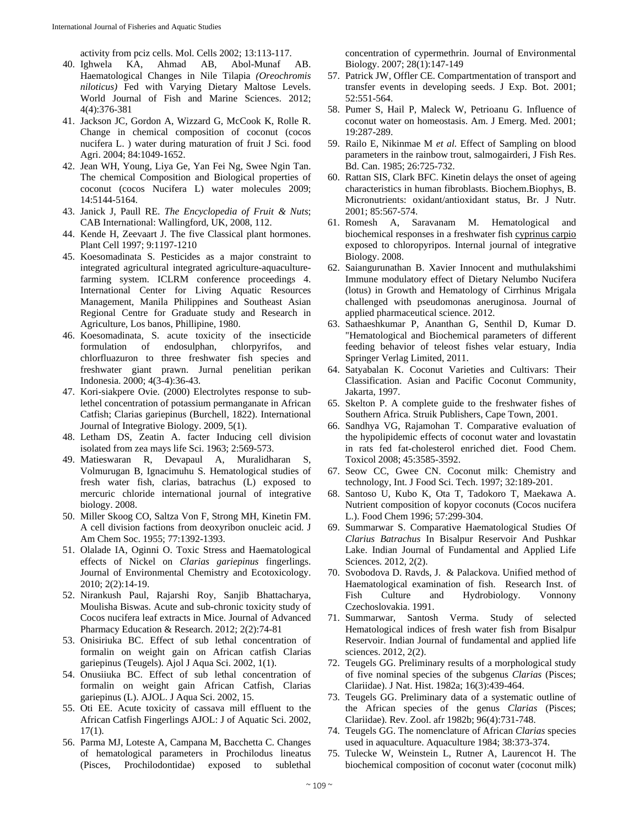activity from pciz cells. Mol. Cells 2002; 13:113-117.

- 40. Ighwela KA, Ahmad AB, Abol-Munaf AB. Haematological Changes in Nile Tilapia *(Oreochromis niloticus)* Fed with Varying Dietary Maltose Levels. World Journal of Fish and Marine Sciences. 2012; 4(4):376-381
- 41. Jackson JC, Gordon A, Wizzard G, McCook K, Rolle R. Change in chemical composition of coconut (cocos nucifera L. ) water during maturation of fruit J Sci. food Agri. 2004; 84:1049-1652.
- 42. Jean WH, Young, Liya Ge, Yan Fei Ng, Swee Ngin Tan. The chemical Composition and Biological properties of coconut (cocos Nucifera L) water molecules 2009; 14:5144-5164.
- 43. Janick J, Paull RE. *The Encyclopedia of Fruit & Nuts*; CAB International: Wallingford, UK, 2008, 112.
- 44. Kende H, Zeevaart J. The five Classical plant hormones. Plant Cell 1997; 9:1197-1210
- 45. Koesomadinata S. Pesticides as a major constraint to integrated agricultural integrated agriculture-aquaculturefarming system. ICLRM conference proceedings 4. International Center for Living Aquatic Resources Management, Manila Philippines and Southeast Asian Regional Centre for Graduate study and Research in Agriculture, Los banos, Phillipine, 1980.
- 46. Koesomadinata, S. acute toxicity of the insecticide formulation of endosulphan, chlorpyrifos, and chlorfluazuron to three freshwater fish species and freshwater giant prawn. Jurnal penelitian perikan Indonesia. 2000; 4(3-4):36-43.
- 47. Kori-siakpere Ovie. (2000) Electrolytes response to sublethel concentration of potassium permanganate in African Catfish; Clarias gariepinus (Burchell, 1822). International Journal of Integrative Biology. 2009, 5(1).
- 48. Letham DS, Zeatin A. facter Inducing cell division isolated from zea mays life Sci. 1963; 2:569-573.
- 49. Matieswaran R, Devapaul A, Muralidharan S, Volmurugan B, Ignacimuhu S. Hematological studies of fresh water fish, clarias, batrachus (L) exposed to mercuric chloride international journal of integrative biology. 2008.
- 50. Miller Skoog CO, Saltza Von F, Strong MH, Kinetin FM. A cell division factions from deoxyribon onucleic acid. J Am Chem Soc. 1955; 77:1392-1393.
- 51. Olalade IA, Oginni O. Toxic Stress and Haematological effects of Nickel on *Clarias gariepinus* fingerlings. Journal of Environmental Chemistry and Ecotoxicology. 2010; 2(2):14-19.
- 52. Nirankush Paul, Rajarshi Roy, Sanjib Bhattacharya, Moulisha Biswas. Acute and sub-chronic toxicity study of Cocos nucifera leaf extracts in Mice. Journal of Advanced Pharmacy Education & Research. 2012; 2(2):74-81
- 53. Onisiriuka BC. Effect of sub lethal concentration of formalin on weight gain on African catfish Clarias gariepinus (Teugels). Ajol J Aqua Sci. 2002, 1(1).
- 54. Onusiiuka BC. Effect of sub lethal concentration of formalin on weight gain African Catfish, Clarias gariepinus (L). AJOL. J Aqua Sci. 2002, 15.
- 55. Oti EE. Acute toxicity of cassava mill effluent to the African Catfish Fingerlings AJOL: J of Aquatic Sci. 2002,  $17(1)$ .
- 56. Parma MJ, Loteste A, Campana M, Bacchetta C. Changes of hematological parameters in Prochilodus lineatus (Pisces, Prochilodontidae) exposed to sublethal

concentration of cypermethrin. Journal of Environmental Biology. 2007; 28(1):147-149

- 57. Patrick JW, Offler CE. Compartmentation of transport and transfer events in developing seeds. J Exp. Bot. 2001; 52:551-564.
- 58. Pumer S, Hail P, Maleck W, Petrioanu G. Influence of coconut water on homeostasis. Am. J Emerg. Med. 2001; 19:287-289.
- 59. Railo E, Nikinmae M *et al.* Effect of Sampling on blood parameters in the rainbow trout, salmogairderi, J Fish Res. Bd. Can. 1985; 26:725-732.
- 60. Rattan SIS, Clark BFC. Kinetin delays the onset of ageing characteristics in human fibroblasts. Biochem.Biophys, B. Micronutrients: oxidant/antioxidant status, Br. J Nutr. 2001; 85:567-574.
- 61. Romesh A, Saravanam M. Hematological and biochemical responses in a freshwater fish cyprinus carpio exposed to chloropyripos. Internal journal of integrative Biology. 2008.
- 62. Saiangurunathan B. Xavier Innocent and muthulakshimi Immune modulatory effect of Dietary Nelumbo Nucifera (lotus) in Growth and Hematology of Cirrhinus Mrigala challenged with pseudomonas aneruginosa. Journal of applied pharmaceutical science. 2012.
- 63. Sathaeshkumar P, Ananthan G, Senthil D, Kumar D. "Hematological and Biochemical parameters of different feeding behavior of teleost fishes velar estuary, India Springer Verlag Limited, 2011.
- 64. Satyabalan K. Coconut Varieties and Cultivars: Their Classification. Asian and Pacific Coconut Community, Jakarta, 1997.
- 65. Skelton P. A complete guide to the freshwater fishes of Southern Africa. Struik Publishers, Cape Town, 2001.
- 66. Sandhya VG, Rajamohan T. Comparative evaluation of the hypolipidemic effects of coconut water and lovastatin in rats fed fat-cholesterol enriched diet. Food Chem. Toxicol 2008; 45:3585-3592.
- 67. Seow CC, Gwee CN. Coconut milk: Chemistry and technology, Int. J Food Sci. Tech. 1997; 32:189-201.
- 68. Santoso U, Kubo K, Ota T, Tadokoro T, Maekawa A. Nutrient composition of kopyor coconuts (Cocos nucifera L.). Food Chem 1996; 57:299-304.
- 69. Summarwar S. Comparative Haematological Studies Of *Clarius Batrachus* In Bisalpur Reservoir And Pushkar Lake. Indian Journal of Fundamental and Applied Life Sciences*.* 2012, 2(2).
- 70. Svobodova D. Ravds, J. & Palackova. Unified method of Haematological examination of fish. Research Inst. of Fish Culture and Hydrobiology. Vonnony Czechoslovakia. 1991.
- 71. Summarwar, Santosh Verma. Study of selected Hematological indices of fresh water fish from Bisalpur Reservoir. Indian Journal of fundamental and applied life sciences. 2012, 2(2).
- 72. Teugels GG. Preliminary results of a morphological study of five nominal species of the subgenus *Clarias* (Pisces; Clariidae). J Nat. Hist. 1982a; 16(3):439-464.
- 73. Teugels GG. Preliminary data of a systematic outline of the African species of the genus *Clarias* (Pisces; Clariidae). Rev. Zool. afr 1982b; 96(4):731-748.
- 74. Teugels GG. The nomenclature of African *Clarias* species used in aquaculture. Aquaculture 1984; 38:373-374.
- 75. Tulecke W, Weinstein L, Rutner A, Laurencot H. The biochemical composition of coconut water (coconut milk)